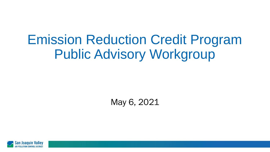# Emission Reduction Credit Program Public Advisory Workgroup

May 6, 2021

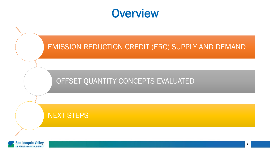



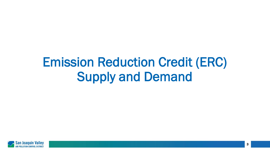# Emission Reduction Credit (ERC) Supply and Demand

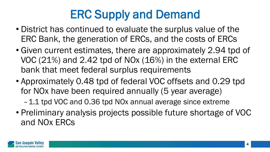# ERC Supply and Demand

- District has continued to evaluate the surplus value of the ERC Bank, the generation of ERCs, and the costs of ERCs
- Given current estimates, there are approximately 2.94 tpd of VOC (21%) and 2.42 tpd of NOx (16%) in the external ERC bank that meet federal surplus requirements
- Approximately 0.48 tpd of federal VOC offsets and 0.29 tpd for NOx have been required annually (5 year average)

–1.1 tpd VOC and 0.36 tpd NOx annual average since extreme

• Preliminary analysis projects possible future shortage of VOC and NOx ERCs

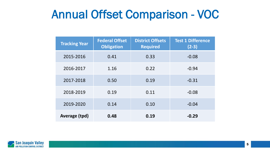#### Annual Offset Comparison - VOC

| <b>Tracking Year</b> | <b>Federal Offset</b><br><b>Obligation</b> | <b>District Offsets</b><br><b>Required</b> | <b>Test 1 Difference</b><br>$(2-3)$ |
|----------------------|--------------------------------------------|--------------------------------------------|-------------------------------------|
| 2015-2016            | 0.41                                       | 0.33                                       | $-0.08$                             |
| 2016-2017            | 1.16                                       | 0.22                                       | $-0.94$                             |
| 2017-2018            | 0.50                                       | 0.19                                       | $-0.31$                             |
| 2018-2019            | 0.19                                       | 0.11                                       | $-0.08$                             |
| 2019-2020            | 0.14                                       | 0.10                                       | $-0.04$                             |
| Average (tpd)        | 0.48                                       | 0.19                                       | $-0.29$                             |

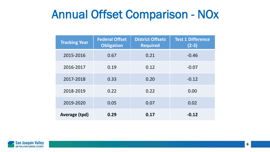#### Annual Offset Comparison - NOx

| <b>Tracking Year</b> | <b>Federal Offset</b><br><b>Obligation</b> | <b>District Offsets</b><br><b>Required</b> | <b>Test 1 Difference</b><br>$(2-3)$ |
|----------------------|--------------------------------------------|--------------------------------------------|-------------------------------------|
| 2015-2016            | 0.67                                       | 0.21                                       | $-0.46$                             |
| 2016-2017            | 0.19                                       | 0.12                                       | $-0.07$                             |
| 2017-2018            | 0.33                                       | 0.20                                       | $-0.12$                             |
| 2018-2019            | 0.22                                       | 0.22                                       | 0.00                                |
| 2019-2020            | 0.05                                       | 0.07                                       | 0.02                                |
| Average (tpd)        | 0.29                                       | 0.17                                       | $-0.12$                             |

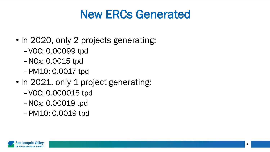### New ERCs Generated

- In 2020, only 2 projects generating:
	- –VOC: 0.00099 tpd
	- –NOx: 0.0015 tpd
	- –PM10: 0.0017 tpd
- In 2021, only 1 project generating:
	- –VOC: 0.000015 tpd
	- –NOx: 0.00019 tpd
	- –PM10: 0.0019 tpd

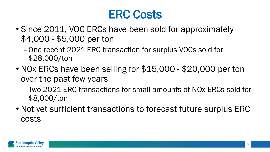### ERC Costs

- Since 2011, VOC ERCs have been sold for approximately \$4,000 - \$5,000 per ton
	- –One recent 2021 ERC transaction for surplus VOCs sold for \$28,000/ton
- NOx ERCs have been selling for \$15,000 \$20,000 per ton over the past few years
	- –Two 2021 ERC transactions for small amounts of NOx ERCs sold for \$8,000/ton
- Not yet sufficient transactions to forecast future surplus ERC costs

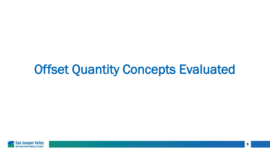# Offset Quantity Concepts Evaluated

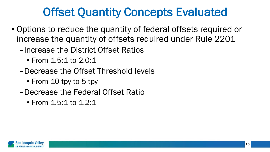### Offset Quantity Concepts Evaluated

- Options to reduce the quantity of federal offsets required or increase the quantity of offsets required under Rule 2201
	- –Increase the District Offset Ratios
		- From 1.5:1 to 2.0:1
	- –Decrease the Offset Threshold levels
		- From 10 tpy to 5 tpy
	- –Decrease the Federal Offset Ratio
		- From 1.5:1 to 1.2:1

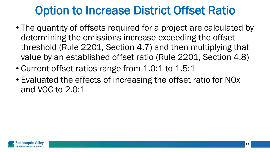### Option to Increase District Offset Ratio

- The quantity of offsets required for a project are calculated by determining the emissions increase exceeding the offset threshold (Rule 2201, Section 4.7) and then multiplying that value by an established offset ratio (Rule 2201, Section 4.8)
- Current offset ratios range from 1.0:1 to 1.5:1
- Evaluated the effects of increasing the offset ratio for NOx and VOC to 2.0:1

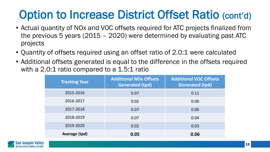## Option to Increase District Offset Ratio (cont'd)

- Actual quantity of NOx and VOC offsets required for ATC projects finalized from the previous 5 years (2015 – 2020) were determined by evaluating past ATC projects
- Quantity of offsets required using an offset ratio of 2.0:1 were calculated
- Additional offsets generated is equal to the difference in the offsets required with a 2.0:1 ratio compared to a 1.5:1 ratio

| <b>Tracking Year</b> | <b>Additional NOx Offsets</b><br><b>Generated (tpd)</b> | <b>Additional VOC Offsets</b><br><b>Generated (tpd)</b> |
|----------------------|---------------------------------------------------------|---------------------------------------------------------|
| 2015-2016            | 0.07                                                    | 0.11                                                    |
| 2016-2017            | 0.02                                                    | 0.06                                                    |
| 2017-2018            | 0.07                                                    | 0.06                                                    |
| 2018-2019            | 0.07                                                    | 0.04                                                    |
| 2019-2020            | 0.02                                                    | 0.03                                                    |
| Average (tpd)        | 0.05                                                    | 0.06                                                    |

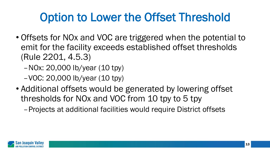## Option to Lower the Offset Threshold

- Offsets for NOx and VOC are triggered when the potential to emit for the facility exceeds established offset thresholds (Rule 2201, 4.5.3)
	- –NOx: 20,000 lb/year (10 tpy)
	- –VOC: 20,000 lb/year (10 tpy)
- Additional offsets would be generated by lowering offset thresholds for NOx and VOC from 10 tpy to 5 tpy
	- –Projects at additional facilities would require District offsets

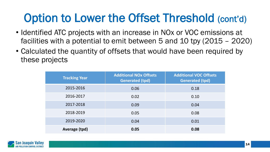#### Option to Lower the Offset Threshold (cont'd)

- Identified ATC projects with an increase in NOx or VOC emissions at facilities with a potential to emit between 5 and 10 tpy (2015 – 2020)
- Calculated the quantity of offsets that would have been required by these projects

| <b>Tracking Year</b> | <b>Additional NOx Offsets</b><br>Generated (tpd) | <b>Additional VOC Offsets</b><br><b>Generated (tpd)</b> |
|----------------------|--------------------------------------------------|---------------------------------------------------------|
| 2015-2016            | 0.06                                             | 0.18                                                    |
| 2016-2017            | 0.02                                             | 0.10                                                    |
| 2017-2018            | 0.09                                             | 0.04                                                    |
| 2018-2019            | 0.05                                             | 0.08                                                    |
| 2019-2020            | 0.04                                             | 0.01                                                    |
| Average (tpd)        | 0.05                                             | 0.08                                                    |

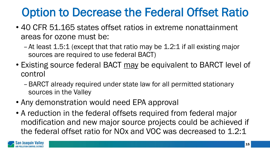### Option to Decrease the Federal Offset Ratio

- 40 CFR 51.165 states offset ratios in extreme nonattainment areas for ozone must be:
	- –At least 1.5:1 (except that that ratio may be 1.2:1 if all existing major sources are required to use federal BACT)
- Existing source federal BACT may be equivalent to BARCT level of control
	- –BARCT already required under state law for all permitted stationary sources in the Valley
- Any demonstration would need EPA approval
- A reduction in the federal offsets required from federal major modification and new major source projects could be achieved if the federal offset ratio for NOx and VOC was decreased to 1.2:1

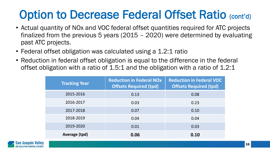## Option to Decrease Federal Offset Ratio (cont'd)

- Actual quantity of NOx and VOC federal offset quantities required for ATC projects finalized from the previous 5 years (2015 – 2020) were determined by evaluating past ATC projects.
- Federal offset obligation was calculated using a 1.2:1 ratio
- Reduction in federal offset obligation is equal to the difference in the federal offset obligation with a ratio of 1.5:1 and the obligation with a ratio of 1.2:1

| <b>Tracking Year</b> | <b>Reduction in Federal NOx</b><br><b>Offsets Required (tpd)</b> | <b>Reduction in Federal VOC</b><br><b>Offsets Required (tpd)</b> |
|----------------------|------------------------------------------------------------------|------------------------------------------------------------------|
| 2015-2016            | 0.13                                                             | 0.08                                                             |
| 2016-2017            | 0.03                                                             | 0.23                                                             |
| 2017-2018            | 0.07                                                             | 0.10                                                             |
| 2018-2019            | 0.04                                                             | 0.04                                                             |
| 2019-2020            | 0.01                                                             | 0.03                                                             |
| Average (tpd)        | 0.06                                                             | 0.10                                                             |

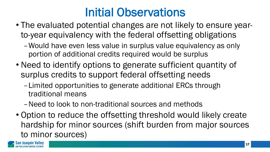### Initial Observations

- The evaluated potential changes are not likely to ensure yearto-year equivalency with the federal offsetting obligations
	- –Would have even less value in surplus value equivalency as only portion of additional credits required would be surplus
- Need to identify options to generate sufficient quantity of surplus credits to support federal offsetting needs
	- –Limited opportunities to generate additional ERCs through traditional means
	- –Need to look to non-traditional sources and methods
- Option to reduce the offsetting threshold would likely create hardship for minor sources (shift burden from major sources to minor sources)

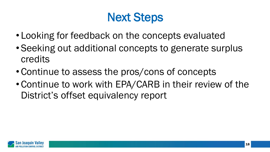#### Next Steps

- Looking for feedback on the concepts evaluated
- Seeking out additional concepts to generate surplus credits
- Continue to assess the pros/cons of concepts
- Continue to work with EPA/CARB in their review of the District's offset equivalency report